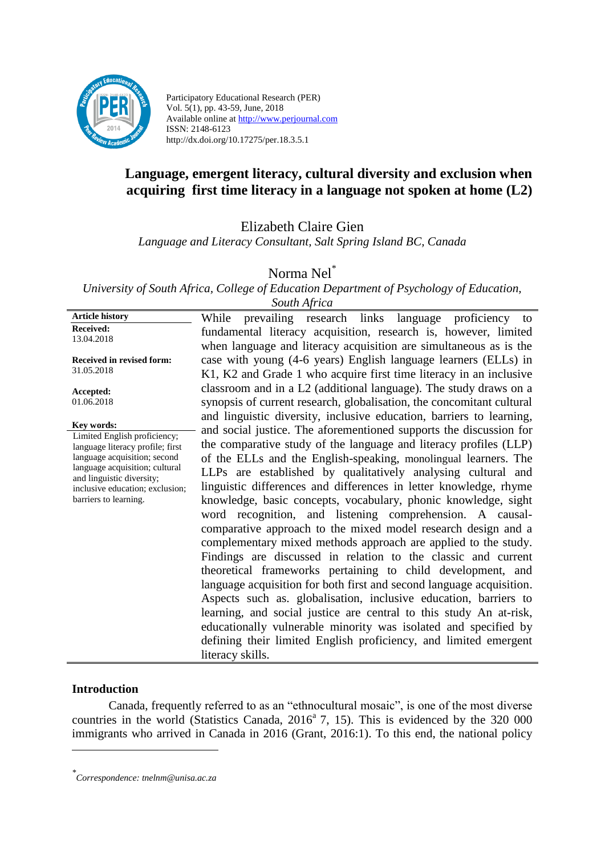

Participatory Educational Research (PER) Vol. 5(1), pp. 43-59, June, 2018 Available online at http://www.perjournal.com ISSN: 2148-6123 http://dx.doi.org/10.17275/per.18.3.5.1

# **Language, emergent literacy, cultural diversity and exclusion when acquiring first time literacy in a language not spoken at home (L2)**

Elizabeth Claire Gien

*Language and Literacy Consultant, Salt Spring Island BC, Canada*

Norma Nel\*

*University of South Africa, College of Education Department of Psychology of Education,* 

| South Africa                                                                                                                                                                                                                              |                                                                                                                                                                                                                                                                                                                                                                                                                                                                                                                                                                                                                                                                                                                                                                                                                                                                                                                                                                                                                                                                                                                                                                                   |
|-------------------------------------------------------------------------------------------------------------------------------------------------------------------------------------------------------------------------------------------|-----------------------------------------------------------------------------------------------------------------------------------------------------------------------------------------------------------------------------------------------------------------------------------------------------------------------------------------------------------------------------------------------------------------------------------------------------------------------------------------------------------------------------------------------------------------------------------------------------------------------------------------------------------------------------------------------------------------------------------------------------------------------------------------------------------------------------------------------------------------------------------------------------------------------------------------------------------------------------------------------------------------------------------------------------------------------------------------------------------------------------------------------------------------------------------|
| <b>Article history</b>                                                                                                                                                                                                                    | prevailing research links<br>proficiency<br>language<br>While<br>to                                                                                                                                                                                                                                                                                                                                                                                                                                                                                                                                                                                                                                                                                                                                                                                                                                                                                                                                                                                                                                                                                                               |
| Received:<br>13.04.2018                                                                                                                                                                                                                   | fundamental literacy acquisition, research is, however, limited<br>when language and literacy acquisition are simultaneous as is the                                                                                                                                                                                                                                                                                                                                                                                                                                                                                                                                                                                                                                                                                                                                                                                                                                                                                                                                                                                                                                              |
| Received in revised form:<br>31.05.2018                                                                                                                                                                                                   | case with young (4-6 years) English language learners (ELLs) in<br>K1, K2 and Grade 1 who acquire first time literacy in an inclusive                                                                                                                                                                                                                                                                                                                                                                                                                                                                                                                                                                                                                                                                                                                                                                                                                                                                                                                                                                                                                                             |
| Accepted:<br>01.06.2018                                                                                                                                                                                                                   | classroom and in a L2 (additional language). The study draws on a<br>synopsis of current research, globalisation, the concomitant cultural                                                                                                                                                                                                                                                                                                                                                                                                                                                                                                                                                                                                                                                                                                                                                                                                                                                                                                                                                                                                                                        |
| Key words:<br>Limited English proficiency;<br>language literacy profile; first<br>language acquisition; second<br>language acquisition; cultural<br>and linguistic diversity;<br>inclusive education; exclusion;<br>barriers to learning. | and linguistic diversity, inclusive education, barriers to learning,<br>and social justice. The aforementioned supports the discussion for<br>the comparative study of the language and literacy profiles (LLP)<br>of the ELLs and the English-speaking, monolingual learners. The<br>LLPs are established by qualitatively analysing cultural and<br>linguistic differences and differences in letter knowledge, rhyme<br>knowledge, basic concepts, vocabulary, phonic knowledge, sight<br>word recognition, and listening comprehension. A causal-<br>comparative approach to the mixed model research design and a<br>complementary mixed methods approach are applied to the study.<br>Findings are discussed in relation to the classic and current<br>theoretical frameworks pertaining to child development, and<br>language acquisition for both first and second language acquisition.<br>Aspects such as. globalisation, inclusive education, barriers to<br>learning, and social justice are central to this study An at-risk,<br>educationally vulnerable minority was isolated and specified by<br>defining their limited English proficiency, and limited emergent |
|                                                                                                                                                                                                                                           | literacy skills.                                                                                                                                                                                                                                                                                                                                                                                                                                                                                                                                                                                                                                                                                                                                                                                                                                                                                                                                                                                                                                                                                                                                                                  |

## **Introduction**

<u>.</u>

Canada, frequently referred to as an "ethnocultural mosaic", is one of the most diverse countries in the world (Statistics Canada,  $2016^a$  7, 15). This is evidenced by the 320 000 immigrants who arrived in Canada in 2016 (Grant, 2016:1). To this end, the national policy

*<sup>\*</sup> Correspondence: tnelnm@unisa.ac.za*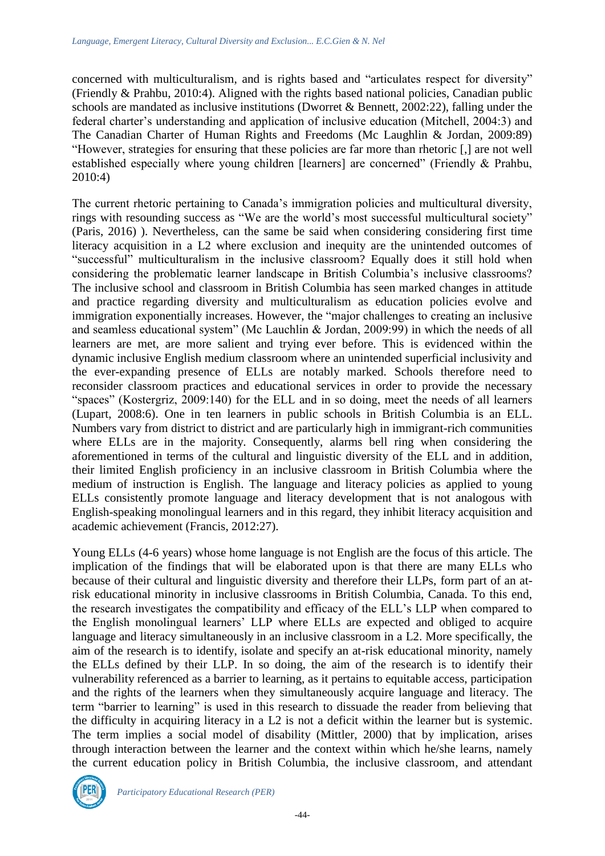concerned with multiculturalism, and is rights based and "articulates respect for diversity" (Friendly & Prahbu, 2010:4). Aligned with the rights based national policies, Canadian public schools are mandated as inclusive institutions (Dworret & Bennett, 2002:22), falling under the federal charter's understanding and application of inclusive education (Mitchell, 2004:3) and The Canadian Charter of Human Rights and Freedoms (Mc Laughlin & Jordan, 2009:89) "However, strategies for ensuring that these policies are far more than rhetoric [,] are not well established especially where young children [learners] are concerned" (Friendly & Prahbu, 2010:4)

The current rhetoric pertaining to Canada's immigration policies and multicultural diversity, rings with resounding success as "We are the world's most successful multicultural society" (Paris, 2016) ). Nevertheless, can the same be said when considering considering first time literacy acquisition in a L2 where exclusion and inequity are the unintended outcomes of "successful" multiculturalism in the inclusive classroom? Equally does it still hold when considering the problematic learner landscape in British Columbia's inclusive classrooms? The inclusive school and classroom in British Columbia has seen marked changes in attitude and practice regarding diversity and multiculturalism as education policies evolve and immigration exponentially increases. However, the "major challenges to creating an inclusive and seamless educational system" (Mc Lauchlin & Jordan, 2009:99) in which the needs of all learners are met, are more salient and trying ever before. This is evidenced within the dynamic inclusive English medium classroom where an unintended superficial inclusivity and the ever-expanding presence of ELLs are notably marked. Schools therefore need to reconsider classroom practices and educational services in order to provide the necessary "spaces" (Kostergriz, 2009:140) for the ELL and in so doing, meet the needs of all learners (Lupart, 2008:6). One in ten learners in public schools in British Columbia is an ELL. Numbers vary from district to district and are particularly high in immigrant-rich communities where ELLs are in the majority. Consequently, alarms bell ring when considering the aforementioned in terms of the cultural and linguistic diversity of the ELL and in addition, their limited English proficiency in an inclusive classroom in British Columbia where the medium of instruction is English. The language and literacy policies as applied to young ELLs consistently promote language and literacy development that is not analogous with English-speaking monolingual learners and in this regard, they inhibit literacy acquisition and academic achievement (Francis, 2012:27).

Young ELLs (4-6 years) whose home language is not English are the focus of this article. The implication of the findings that will be elaborated upon is that there are many ELLs who because of their cultural and linguistic diversity and therefore their LLPs, form part of an atrisk educational minority in inclusive classrooms in British Columbia, Canada. To this end, the research investigates the compatibility and efficacy of the ELL's LLP when compared to the English monolingual learners' LLP where ELLs are expected and obliged to acquire language and literacy simultaneously in an inclusive classroom in a L2. More specifically, the aim of the research is to identify, isolate and specify an at-risk educational minority, namely the ELLs defined by their LLP. In so doing, the aim of the research is to identify their vulnerability referenced as a barrier to learning, as it pertains to equitable access, participation and the rights of the learners when they simultaneously acquire language and literacy. The term "barrier to learning" is used in this research to dissuade the reader from believing that the difficulty in acquiring literacy in a L2 is not a deficit within the learner but is systemic. The term implies a social model of disability (Mittler, 2000) that by implication, arises through interaction between the learner and the context within which he/she learns, namely the current education policy in British Columbia, the inclusive classroom, and attendant

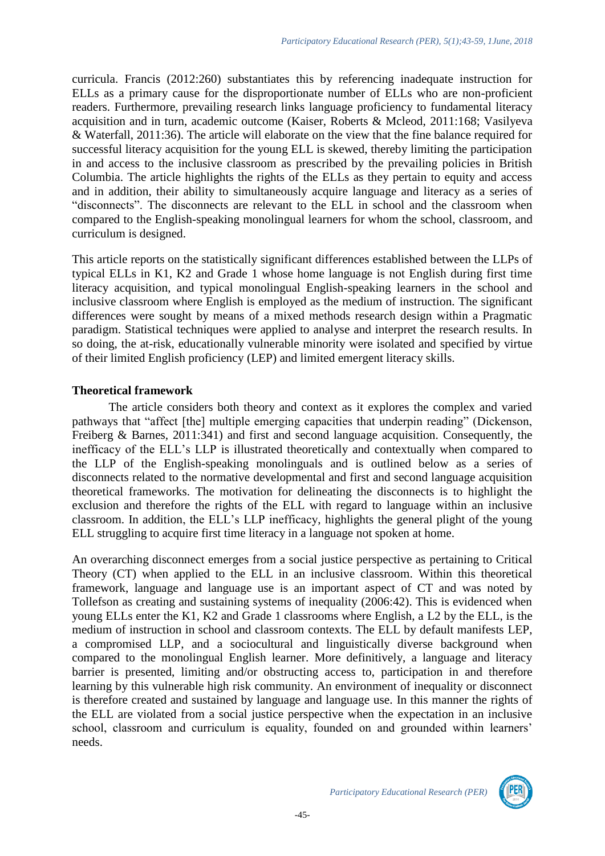curricula. Francis (2012:260) substantiates this by referencing inadequate instruction for ELLs as a primary cause for the disproportionate number of ELLs who are non-proficient readers. Furthermore, prevailing research links language proficiency to fundamental literacy acquisition and in turn, academic outcome (Kaiser, Roberts & Mcleod, 2011:168; Vasilyeva & Waterfall, 2011:36). The article will elaborate on the view that the fine balance required for successful literacy acquisition for the young ELL is skewed, thereby limiting the participation in and access to the inclusive classroom as prescribed by the prevailing policies in British Columbia. The article highlights the rights of the ELLs as they pertain to equity and access and in addition, their ability to simultaneously acquire language and literacy as a series of "disconnects". The disconnects are relevant to the ELL in school and the classroom when compared to the English-speaking monolingual learners for whom the school, classroom, and curriculum is designed.

This article reports on the statistically significant differences established between the LLPs of typical ELLs in K1, K2 and Grade 1 whose home language is not English during first time literacy acquisition, and typical monolingual English-speaking learners in the school and inclusive classroom where English is employed as the medium of instruction. The significant differences were sought by means of a mixed methods research design within a Pragmatic paradigm. Statistical techniques were applied to analyse and interpret the research results. In so doing, the at-risk, educationally vulnerable minority were isolated and specified by virtue of their limited English proficiency (LEP) and limited emergent literacy skills.

## **Theoretical framework**

The article considers both theory and context as it explores the complex and varied pathways that "affect [the] multiple emerging capacities that underpin reading" (Dickenson, Freiberg & Barnes, 2011:341) and first and second language acquisition. Consequently, the inefficacy of the ELL's LLP is illustrated theoretically and contextually when compared to the LLP of the English-speaking monolinguals and is outlined below as a series of disconnects related to the normative developmental and first and second language acquisition theoretical frameworks. The motivation for delineating the disconnects is to highlight the exclusion and therefore the rights of the ELL with regard to language within an inclusive classroom. In addition, the ELL's LLP inefficacy, highlights the general plight of the young ELL struggling to acquire first time literacy in a language not spoken at home.

An overarching disconnect emerges from a social justice perspective as pertaining to Critical Theory (CT) when applied to the ELL in an inclusive classroom. Within this theoretical framework, language and language use is an important aspect of CT and was noted by Tollefson as creating and sustaining systems of inequality (2006:42). This is evidenced when young ELLs enter the K1, K2 and Grade 1 classrooms where English, a L2 by the ELL, is the medium of instruction in school and classroom contexts. The ELL by default manifests LEP, a compromised LLP, and a sociocultural and linguistically diverse background when compared to the monolingual English learner. More definitively, a language and literacy barrier is presented, limiting and/or obstructing access to, participation in and therefore learning by this vulnerable high risk community. An environment of inequality or disconnect is therefore created and sustained by language and language use. In this manner the rights of the ELL are violated from a social justice perspective when the expectation in an inclusive school, classroom and curriculum is equality, founded on and grounded within learners' needs.

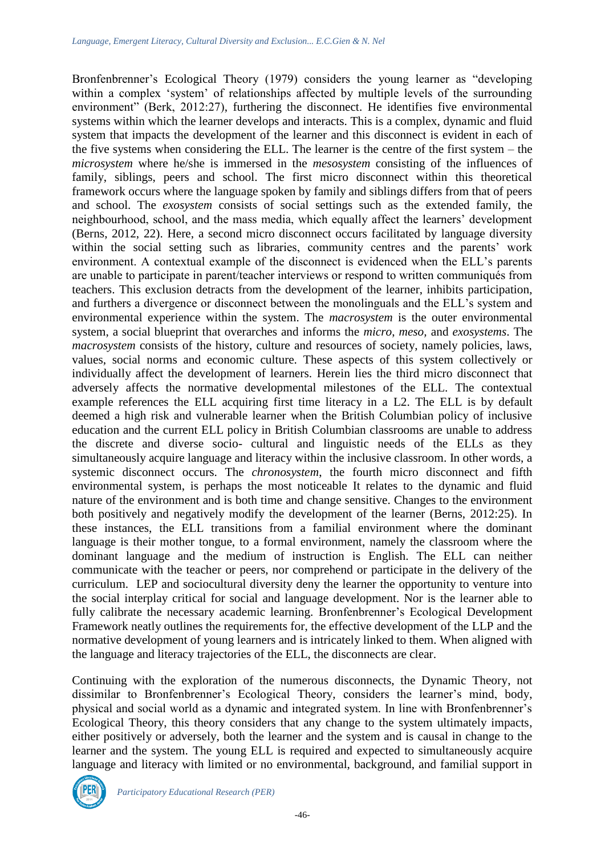Bronfenbrenner's Ecological Theory (1979) considers the young learner as "developing within a complex 'system' of relationships affected by multiple levels of the surrounding environment" (Berk, 2012:27), furthering the disconnect. He identifies five environmental systems within which the learner develops and interacts. This is a complex, dynamic and fluid system that impacts the development of the learner and this disconnect is evident in each of the five systems when considering the ELL. The learner is the centre of the first system – the *microsystem* where he/she is immersed in the *mesosystem* consisting of the influences of family, siblings, peers and school. The first micro disconnect within this theoretical framework occurs where the language spoken by family and siblings differs from that of peers and school. The *exosystem* consists of social settings such as the extended family, the neighbourhood, school, and the mass media, which equally affect the learners' development (Berns, 2012, 22). Here, a second micro disconnect occurs facilitated by language diversity within the social setting such as libraries, community centres and the parents' work environment. A contextual example of the disconnect is evidenced when the ELL's parents are unable to participate in parent/teacher interviews or respond to written communiqués from teachers. This exclusion detracts from the development of the learner, inhibits participation, and furthers a divergence or disconnect between the monolinguals and the ELL's system and environmental experience within the system. The *macrosystem* is the outer environmental system, a social blueprint that overarches and informs the *micro*, *meso,* and *exosystems*. The *macrosystem* consists of the history, culture and resources of society, namely policies, laws, values, social norms and economic culture. These aspects of this system collectively or individually affect the development of learners. Herein lies the third micro disconnect that adversely affects the normative developmental milestones of the ELL. The contextual example references the ELL acquiring first time literacy in a L2. The ELL is by default deemed a high risk and vulnerable learner when the British Columbian policy of inclusive education and the current ELL policy in British Columbian classrooms are unable to address the discrete and diverse socio- cultural and linguistic needs of the ELLs as they simultaneously acquire language and literacy within the inclusive classroom. In other words, a systemic disconnect occurs. The *chronosystem*, the fourth micro disconnect and fifth environmental system, is perhaps the most noticeable It relates to the dynamic and fluid nature of the environment and is both time and change sensitive. Changes to the environment both positively and negatively modify the development of the learner (Berns, 2012:25). In these instances, the ELL transitions from a familial environment where the dominant language is their mother tongue, to a formal environment, namely the classroom where the dominant language and the medium of instruction is English. The ELL can neither communicate with the teacher or peers, nor comprehend or participate in the delivery of the curriculum. LEP and sociocultural diversity deny the learner the opportunity to venture into the social interplay critical for social and language development. Nor is the learner able to fully calibrate the necessary academic learning. Bronfenbrenner's Ecological Development Framework neatly outlines the requirements for, the effective development of the LLP and the normative development of young learners and is intricately linked to them. When aligned with the language and literacy trajectories of the ELL, the disconnects are clear.

Continuing with the exploration of the numerous disconnects, the Dynamic Theory, not dissimilar to Bronfenbrenner's Ecological Theory, considers the learner's mind, body, physical and social world as a dynamic and integrated system. In line with Bronfenbrenner's Ecological Theory, this theory considers that any change to the system ultimately impacts, either positively or adversely, both the learner and the system and is causal in change to the learner and the system. The young ELL is required and expected to simultaneously acquire language and literacy with limited or no environmental, background, and familial support in

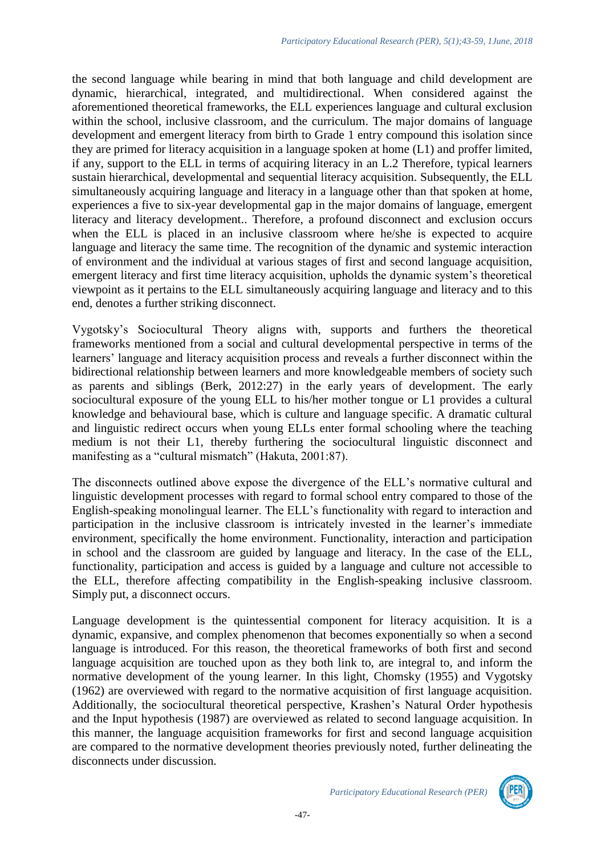the second language while bearing in mind that both language and child development are dynamic, hierarchical, integrated, and multidirectional. When considered against the aforementioned theoretical frameworks, the ELL experiences language and cultural exclusion within the school, inclusive classroom, and the curriculum. The major domains of language development and emergent literacy from birth to Grade 1 entry compound this isolation since they are primed for literacy acquisition in a language spoken at home (L1) and proffer limited, if any, support to the ELL in terms of acquiring literacy in an L.2 Therefore, typical learners sustain hierarchical, developmental and sequential literacy acquisition. Subsequently, the ELL simultaneously acquiring language and literacy in a language other than that spoken at home, experiences a five to six-year developmental gap in the major domains of language, emergent literacy and literacy development.. Therefore, a profound disconnect and exclusion occurs when the ELL is placed in an inclusive classroom where he/she is expected to acquire language and literacy the same time. The recognition of the dynamic and systemic interaction of environment and the individual at various stages of first and second language acquisition, emergent literacy and first time literacy acquisition, upholds the dynamic system's theoretical viewpoint as it pertains to the ELL simultaneously acquiring language and literacy and to this end, denotes a further striking disconnect.

Vygotsky's Sociocultural Theory aligns with, supports and furthers the theoretical frameworks mentioned from a social and cultural developmental perspective in terms of the learners' language and literacy acquisition process and reveals a further disconnect within the bidirectional relationship between learners and more knowledgeable members of society such as parents and siblings (Berk, 2012:27) in the early years of development. The early sociocultural exposure of the young ELL to his/her mother tongue or L1 provides a cultural knowledge and behavioural base, which is culture and language specific. A dramatic cultural and linguistic redirect occurs when young ELLs enter formal schooling where the teaching medium is not their L1, thereby furthering the sociocultural linguistic disconnect and manifesting as a "cultural mismatch" (Hakuta, 2001:87).

The disconnects outlined above expose the divergence of the ELL's normative cultural and linguistic development processes with regard to formal school entry compared to those of the English-speaking monolingual learner. The ELL's functionality with regard to interaction and participation in the inclusive classroom is intricately invested in the learner's immediate environment, specifically the home environment. Functionality, interaction and participation in school and the classroom are guided by language and literacy. In the case of the ELL, functionality, participation and access is guided by a language and culture not accessible to the ELL, therefore affecting compatibility in the English-speaking inclusive classroom. Simply put, a disconnect occurs.

Language development is the quintessential component for literacy acquisition. It is a dynamic, expansive, and complex phenomenon that becomes exponentially so when a second language is introduced. For this reason, the theoretical frameworks of both first and second language acquisition are touched upon as they both link to, are integral to, and inform the normative development of the young learner. In this light, Chomsky (1955) and Vygotsky (1962) are overviewed with regard to the normative acquisition of first language acquisition. Additionally, the sociocultural theoretical perspective, Krashen's Natural Order hypothesis and the Input hypothesis (1987) are overviewed as related to second language acquisition. In this manner, the language acquisition frameworks for first and second language acquisition are compared to the normative development theories previously noted, further delineating the disconnects under discussion.

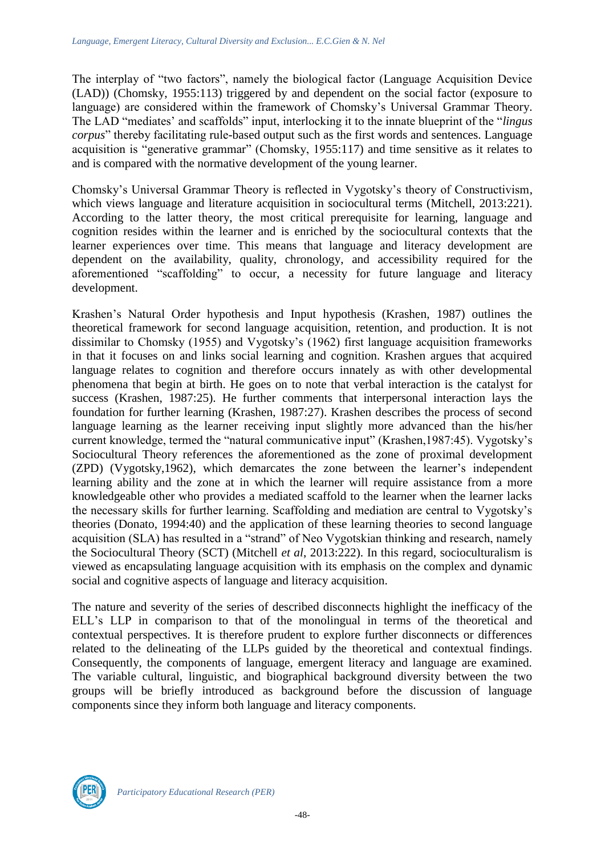The interplay of "two factors", namely the biological factor (Language Acquisition Device (LAD)) (Chomsky, 1955:113) triggered by and dependent on the social factor (exposure to language) are considered within the framework of Chomsky's Universal Grammar Theory. The LAD "mediates' and scaffolds" input, interlocking it to the innate blueprint of the "*lingus corpus*" thereby facilitating rule-based output such as the first words and sentences. Language acquisition is "generative grammar" (Chomsky, 1955:117) and time sensitive as it relates to and is compared with the normative development of the young learner.

Chomsky's Universal Grammar Theory is reflected in Vygotsky's theory of Constructivism, which views language and literature acquisition in sociocultural terms (Mitchell, 2013:221). According to the latter theory, the most critical prerequisite for learning, language and cognition resides within the learner and is enriched by the sociocultural contexts that the learner experiences over time. This means that language and literacy development are dependent on the availability, quality, chronology, and accessibility required for the aforementioned "scaffolding" to occur, a necessity for future language and literacy development.

Krashen's Natural Order hypothesis and Input hypothesis (Krashen, 1987) outlines the theoretical framework for second language acquisition, retention, and production. It is not dissimilar to Chomsky (1955) and Vygotsky's (1962) first language acquisition frameworks in that it focuses on and links social learning and cognition. Krashen argues that acquired language relates to cognition and therefore occurs innately as with other developmental phenomena that begin at birth. He goes on to note that verbal interaction is the catalyst for success (Krashen, 1987:25). He further comments that interpersonal interaction lays the foundation for further learning (Krashen, 1987:27). Krashen describes the process of second language learning as the learner receiving input slightly more advanced than the his/her current knowledge, termed the "natural communicative input" (Krashen,1987:45). Vygotsky's Sociocultural Theory references the aforementioned as the zone of proximal development (ZPD) (Vygotsky,1962), which demarcates the zone between the learner's independent learning ability and the zone at in which the learner will require assistance from a more knowledgeable other who provides a mediated scaffold to the learner when the learner lacks the necessary skills for further learning. Scaffolding and mediation are central to Vygotsky's theories (Donato, 1994:40) and the application of these learning theories to second language acquisition (SLA) has resulted in a "strand" of Neo Vygotskian thinking and research, namely the Sociocultural Theory (SCT) (Mitchell *et al*, 2013:222). In this regard, socioculturalism is viewed as encapsulating language acquisition with its emphasis on the complex and dynamic social and cognitive aspects of language and literacy acquisition.

The nature and severity of the series of described disconnects highlight the inefficacy of the ELL's LLP in comparison to that of the monolingual in terms of the theoretical and contextual perspectives. It is therefore prudent to explore further disconnects or differences related to the delineating of the LLPs guided by the theoretical and contextual findings. Consequently, the components of language, emergent literacy and language are examined. The variable cultural, linguistic, and biographical background diversity between the two groups will be briefly introduced as background before the discussion of language components since they inform both language and literacy components.

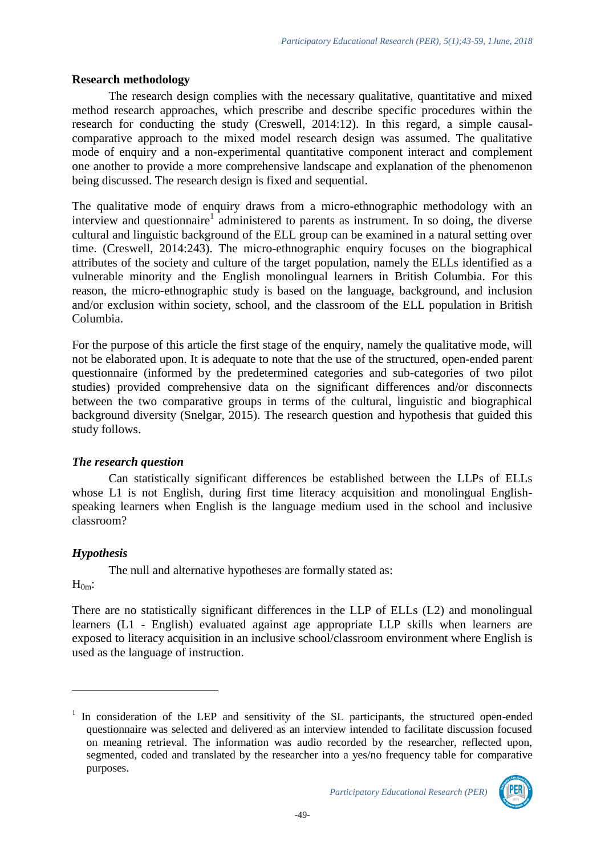### **Research methodology**

The research design complies with the necessary qualitative, quantitative and mixed method research approaches, which prescribe and describe specific procedures within the research for conducting the study (Creswell, 2014:12). In this regard, a simple causalcomparative approach to the mixed model research design was assumed. The qualitative mode of enquiry and a non-experimental quantitative component interact and complement one another to provide a more comprehensive landscape and explanation of the phenomenon being discussed. The research design is fixed and sequential.

The qualitative mode of enquiry draws from a micro-ethnographic methodology with an interview and questionnaire<sup>1</sup> administered to parents as instrument. In so doing, the diverse cultural and linguistic background of the ELL group can be examined in a natural setting over time. (Creswell, 2014:243). The micro-ethnographic enquiry focuses on the biographical attributes of the society and culture of the target population, namely the ELLs identified as a vulnerable minority and the English monolingual learners in British Columbia. For this reason, the micro-ethnographic study is based on the language, background, and inclusion and/or exclusion within society, school, and the classroom of the ELL population in British Columbia.

For the purpose of this article the first stage of the enquiry, namely the qualitative mode, will not be elaborated upon. It is adequate to note that the use of the structured, open-ended parent questionnaire (informed by the predetermined categories and sub-categories of two pilot studies) provided comprehensive data on the significant differences and/or disconnects between the two comparative groups in terms of the cultural, linguistic and biographical background diversity (Snelgar, 2015). The research question and hypothesis that guided this study follows.

## *The research question*

Can statistically significant differences be established between the LLPs of ELLs whose L1 is not English, during first time literacy acquisition and monolingual Englishspeaking learners when English is the language medium used in the school and inclusive classroom?

## *Hypothesis*

The null and alternative hypotheses are formally stated as:

 $H_{0m}$ :

<u>.</u>

There are no statistically significant differences in the LLP of ELLs (L2) and monolingual learners (L1 - English) evaluated against age appropriate LLP skills when learners are exposed to literacy acquisition in an inclusive school/classroom environment where English is used as the language of instruction.

<sup>&</sup>lt;sup>1</sup> In consideration of the LEP and sensitivity of the SL participants, the structured open-ended questionnaire was selected and delivered as an interview intended to facilitate discussion focused on meaning retrieval. The information was audio recorded by the researcher, reflected upon, segmented, coded and translated by the researcher into a yes/no frequency table for comparative purposes.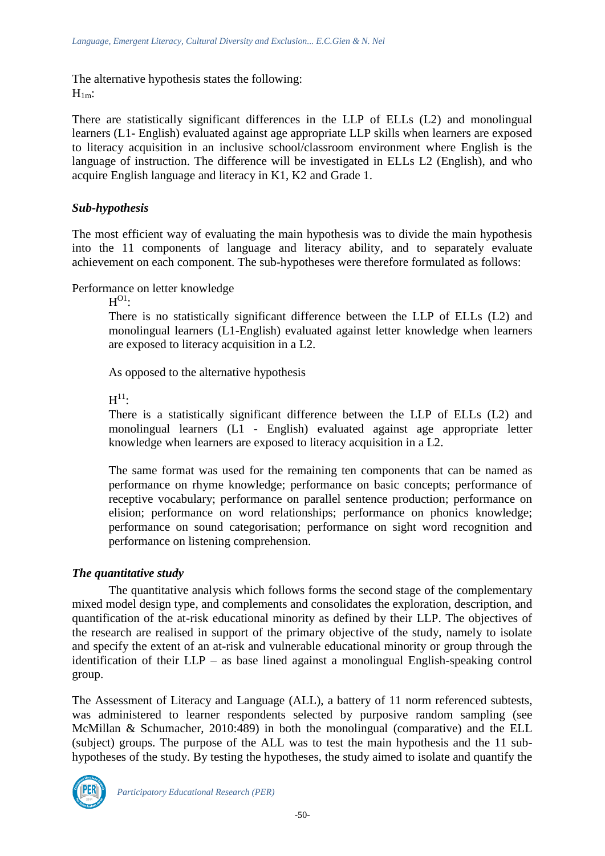The alternative hypothesis states the following:  $H_{1m}$ :

There are statistically significant differences in the LLP of ELLs (L2) and monolingual learners (L1- English) evaluated against age appropriate LLP skills when learners are exposed to literacy acquisition in an inclusive school/classroom environment where English is the language of instruction. The difference will be investigated in ELLs L2 (English), and who acquire English language and literacy in K1, K2 and Grade 1.

### *Sub-hypothesis*

The most efficient way of evaluating the main hypothesis was to divide the main hypothesis into the 11 components of language and literacy ability, and to separately evaluate achievement on each component. The sub-hypotheses were therefore formulated as follows:

Performance on letter knowledge

 $\mathrm{H}^{\mathrm{O1}}$ :

There is no statistically significant difference between the LLP of ELLs (L2) and monolingual learners (L1-English) evaluated against letter knowledge when learners are exposed to literacy acquisition in a L2.

As opposed to the alternative hypothesis

 $\mathrm{H}^{11}$ :

There is a statistically significant difference between the LLP of ELLs (L2) and monolingual learners (L1 - English) evaluated against age appropriate letter knowledge when learners are exposed to literacy acquisition in a L2.

The same format was used for the remaining ten components that can be named as performance on rhyme knowledge; performance on basic concepts; performance of receptive vocabulary; performance on parallel sentence production; performance on elision; performance on word relationships; performance on phonics knowledge; performance on sound categorisation; performance on sight word recognition and performance on listening comprehension.

#### *The quantitative study*

The quantitative analysis which follows forms the second stage of the complementary mixed model design type, and complements and consolidates the exploration, description, and quantification of the at-risk educational minority as defined by their LLP. The objectives of the research are realised in support of the primary objective of the study, namely to isolate and specify the extent of an at-risk and vulnerable educational minority or group through the identification of their LLP – as base lined against a monolingual English-speaking control group.

The Assessment of Literacy and Language (ALL), a battery of 11 norm referenced subtests, was administered to learner respondents selected by purposive random sampling (see McMillan & Schumacher, 2010:489) in both the monolingual (comparative) and the ELL (subject) groups. The purpose of the ALL was to test the main hypothesis and the 11 subhypotheses of the study. By testing the hypotheses, the study aimed to isolate and quantify the

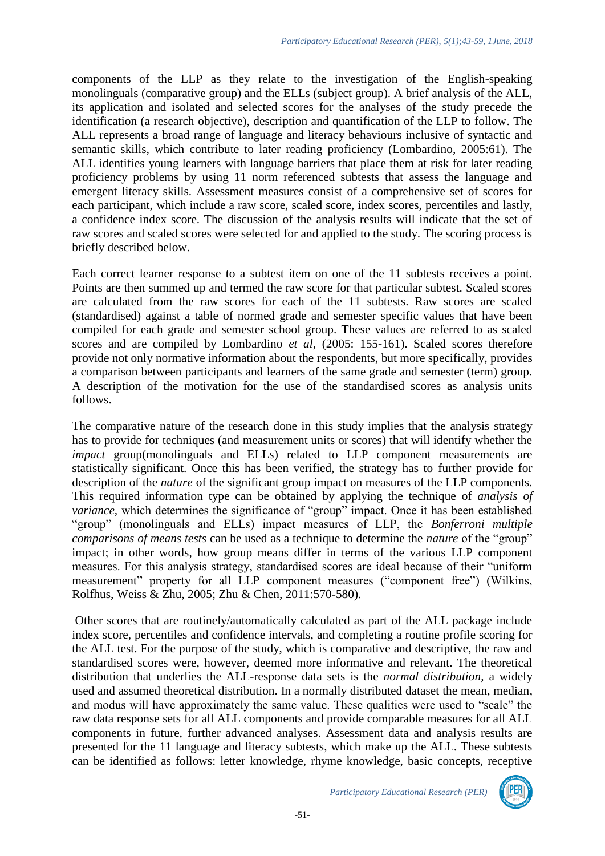components of the LLP as they relate to the investigation of the English-speaking monolinguals (comparative group) and the ELLs (subject group). A brief analysis of the ALL, its application and isolated and selected scores for the analyses of the study precede the identification (a research objective), description and quantification of the LLP to follow. The ALL represents a broad range of language and literacy behaviours inclusive of syntactic and semantic skills, which contribute to later reading proficiency (Lombardino, 2005:61). The ALL identifies young learners with language barriers that place them at risk for later reading proficiency problems by using 11 norm referenced subtests that assess the language and emergent literacy skills. Assessment measures consist of a comprehensive set of scores for each participant, which include a raw score, scaled score, index scores, percentiles and lastly, a confidence index score. The discussion of the analysis results will indicate that the set of raw scores and scaled scores were selected for and applied to the study. The scoring process is briefly described below.

Each correct learner response to a subtest item on one of the 11 subtests receives a point. Points are then summed up and termed the raw score for that particular subtest. Scaled scores are calculated from the raw scores for each of the 11 subtests. Raw scores are scaled (standardised) against a table of normed grade and semester specific values that have been compiled for each grade and semester school group. These values are referred to as scaled scores and are compiled by Lombardino *et al*, (2005: 155-161). Scaled scores therefore provide not only normative information about the respondents, but more specifically, provides a comparison between participants and learners of the same grade and semester (term) group. A description of the motivation for the use of the standardised scores as analysis units follows.

The comparative nature of the research done in this study implies that the analysis strategy has to provide for techniques (and measurement units or scores) that will identify whether the *impact* group(monolinguals and ELLs) related to LLP component measurements are statistically significant. Once this has been verified, the strategy has to further provide for description of the *nature* of the significant group impact on measures of the LLP components. This required information type can be obtained by applying the technique of *analysis of variance*, which determines the significance of "group" impact. Once it has been established "group" (monolinguals and ELLs) impact measures of LLP, the *Bonferroni multiple comparisons of means tests* can be used as a technique to determine the *nature* of the "group" impact; in other words, how group means differ in terms of the various LLP component measures. For this analysis strategy, standardised scores are ideal because of their "uniform measurement" property for all LLP component measures ("component free") (Wilkins, Rolfhus, Weiss & Zhu, 2005; Zhu & Chen, 2011:570-580).

Other scores that are routinely/automatically calculated as part of the ALL package include index score, percentiles and confidence intervals, and completing a routine profile scoring for the ALL test. For the purpose of the study, which is comparative and descriptive, the raw and standardised scores were, however, deemed more informative and relevant. The theoretical distribution that underlies the ALL-response data sets is the *normal distribution,* a widely used and assumed theoretical distribution. In a normally distributed dataset the mean, median, and modus will have approximately the same value. These qualities were used to "scale" the raw data response sets for all ALL components and provide comparable measures for all ALL components in future, further advanced analyses. Assessment data and analysis results are presented for the 11 language and literacy subtests, which make up the ALL. These subtests can be identified as follows: letter knowledge, rhyme knowledge, basic concepts, receptive

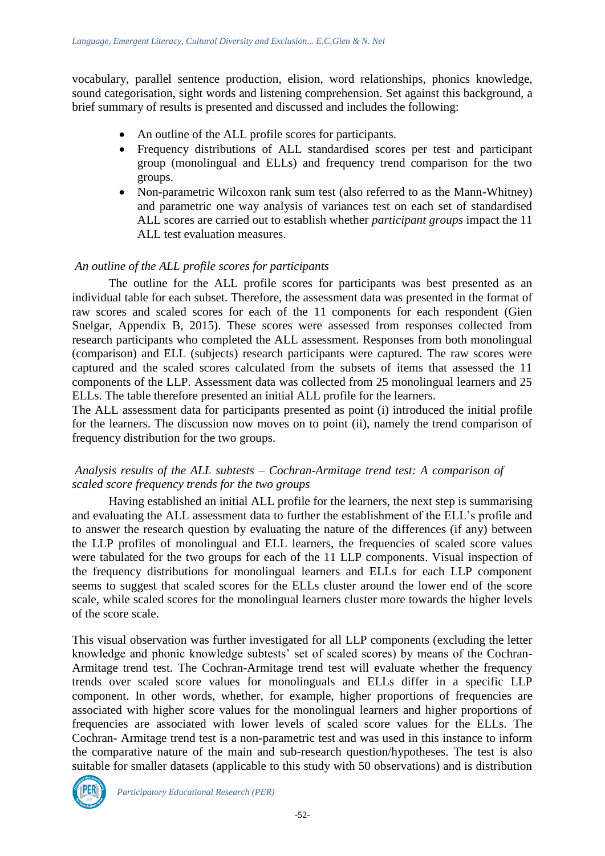vocabulary, parallel sentence production, elision, word relationships, phonics knowledge, sound categorisation, sight words and listening comprehension. Set against this background, a brief summary of results is presented and discussed and includes the following:

- An outline of the ALL profile scores for participants.
- Frequency distributions of ALL standardised scores per test and participant group (monolingual and ELLs) and frequency trend comparison for the two groups.
- Non-parametric Wilcoxon rank sum test (also referred to as the Mann-Whitney) and parametric one way analysis of variances test on each set of standardised ALL scores are carried out to establish whether *participant groups* impact the 11 ALL test evaluation measures.

#### *An outline of the ALL profile scores for participants*

The outline for the ALL profile scores for participants was best presented as an individual table for each subset. Therefore, the assessment data was presented in the format of raw scores and scaled scores for each of the 11 components for each respondent (Gien Snelgar, Appendix B, 2015). These scores were assessed from responses collected from research participants who completed the ALL assessment. Responses from both monolingual (comparison) and ELL (subjects) research participants were captured. The raw scores were captured and the scaled scores calculated from the subsets of items that assessed the 11 components of the LLP. Assessment data was collected from 25 monolingual learners and 25 ELLs. The table therefore presented an initial ALL profile for the learners.

The ALL assessment data for participants presented as point (i) introduced the initial profile for the learners. The discussion now moves on to point (ii), namely the trend comparison of frequency distribution for the two groups.

#### *Analysis results of the ALL subtests – Cochran-Armitage trend test: A comparison of scaled score frequency trends for the two groups*

Having established an initial ALL profile for the learners, the next step is summarising and evaluating the ALL assessment data to further the establishment of the ELL's profile and to answer the research question by evaluating the nature of the differences (if any) between the LLP profiles of monolingual and ELL learners, the frequencies of scaled score values were tabulated for the two groups for each of the 11 LLP components. Visual inspection of the frequency distributions for monolingual learners and ELLs for each LLP component seems to suggest that scaled scores for the ELLs cluster around the lower end of the score scale, while scaled scores for the monolingual learners cluster more towards the higher levels of the score scale.

This visual observation was further investigated for all LLP components (excluding the letter knowledge and phonic knowledge subtests' set of scaled scores) by means of the Cochran-Armitage trend test. The Cochran-Armitage trend test will evaluate whether the frequency trends over scaled score values for monolinguals and ELLs differ in a specific LLP component. In other words, whether, for example, higher proportions of frequencies are associated with higher score values for the monolingual learners and higher proportions of frequencies are associated with lower levels of scaled score values for the ELLs. The Cochran- Armitage trend test is a non-parametric test and was used in this instance to inform the comparative nature of the main and sub-research question/hypotheses. The test is also suitable for smaller datasets (applicable to this study with 50 observations) and is distribution

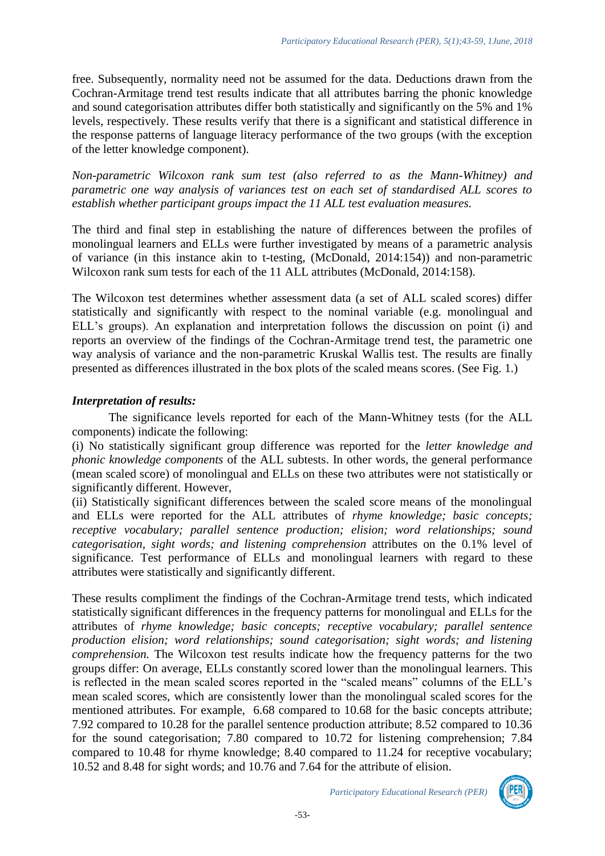free. Subsequently, normality need not be assumed for the data. Deductions drawn from the Cochran-Armitage trend test results indicate that all attributes barring the phonic knowledge and sound categorisation attributes differ both statistically and significantly on the 5% and 1% levels, respectively. These results verify that there is a significant and statistical difference in the response patterns of language literacy performance of the two groups (with the exception of the letter knowledge component).

*Non-parametric Wilcoxon rank sum test (also referred to as the Mann-Whitney) and parametric one way analysis of variances test on each set of standardised ALL scores to establish whether participant groups impact the 11 ALL test evaluation measures.* 

The third and final step in establishing the nature of differences between the profiles of monolingual learners and ELLs were further investigated by means of a parametric analysis of variance (in this instance akin to t-testing, (McDonald, 2014:154)) and non-parametric Wilcoxon rank sum tests for each of the 11 ALL attributes (McDonald, 2014:158).

The Wilcoxon test determines whether assessment data (a set of ALL scaled scores) differ statistically and significantly with respect to the nominal variable (e.g. monolingual and ELL's groups). An explanation and interpretation follows the discussion on point (i) and reports an overview of the findings of the Cochran-Armitage trend test, the parametric one way analysis of variance and the non-parametric Kruskal Wallis test. The results are finally presented as differences illustrated in the box plots of the scaled means scores. (See Fig. 1.)

#### *Interpretation of results:*

The significance levels reported for each of the Mann-Whitney tests (for the ALL components) indicate the following:

(i) No statistically significant group difference was reported for the *letter knowledge and phonic knowledge components* of the ALL subtests. In other words, the general performance (mean scaled score) of monolingual and ELLs on these two attributes were not statistically or significantly different. However,

(ii) Statistically significant differences between the scaled score means of the monolingual and ELLs were reported for the ALL attributes of *rhyme knowledge; basic concepts; receptive vocabulary; parallel sentence production; elision; word relationships; sound categorisation, sight words; and listening comprehension* attributes on the 0.1% level of significance. Test performance of ELLs and monolingual learners with regard to these attributes were statistically and significantly different.

These results compliment the findings of the Cochran-Armitage trend tests, which indicated statistically significant differences in the frequency patterns for monolingual and ELLs for the attributes of *rhyme knowledge; basic concepts; receptive vocabulary; parallel sentence production elision; word relationships; sound categorisation; sight words; and listening comprehension.* The Wilcoxon test results indicate how the frequency patterns for the two groups differ: On average, ELLs constantly scored lower than the monolingual learners. This is reflected in the mean scaled scores reported in the "scaled means" columns of the ELL's mean scaled scores, which are consistently lower than the monolingual scaled scores for the mentioned attributes. For example, 6.68 compared to 10.68 for the basic concepts attribute; 7.92 compared to 10.28 for the parallel sentence production attribute; 8.52 compared to 10.36 for the sound categorisation; 7.80 compared to 10.72 for listening comprehension; 7.84 compared to 10.48 for rhyme knowledge; 8.40 compared to 11.24 for receptive vocabulary; 10.52 and 8.48 for sight words; and 10.76 and 7.64 for the attribute of elision.

*Participatory Educational Research (PER)*

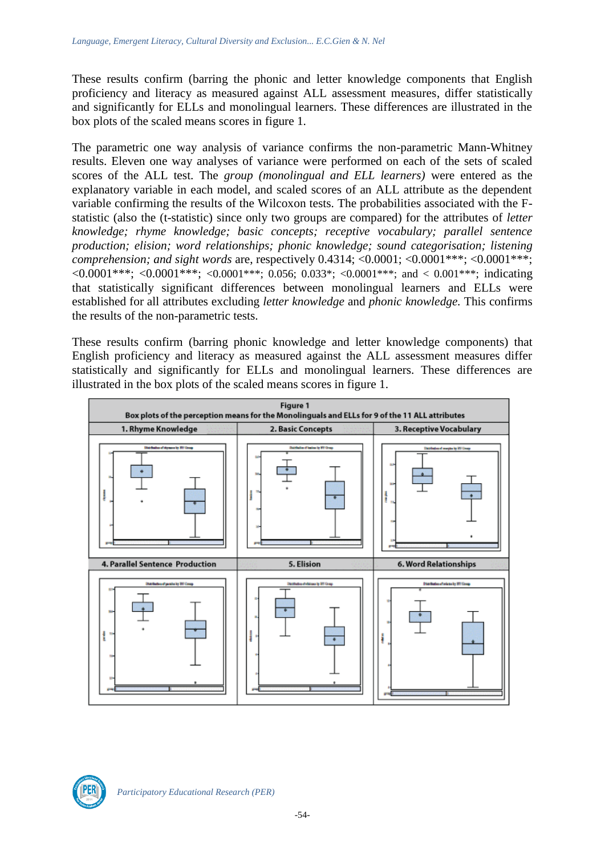These results confirm (barring the phonic and letter knowledge components that English proficiency and literacy as measured against ALL assessment measures, differ statistically and significantly for ELLs and monolingual learners. These differences are illustrated in the box plots of the scaled means scores in figure 1.

The parametric one way analysis of variance confirms the non-parametric Mann-Whitney results. Eleven one way analyses of variance were performed on each of the sets of scaled scores of the ALL test. The *group (monolingual and ELL learners)* were entered as the explanatory variable in each model, and scaled scores of an ALL attribute as the dependent variable confirming the results of the Wilcoxon tests. The probabilities associated with the Fstatistic (also the (t-statistic) since only two groups are compared) for the attributes of *letter knowledge; rhyme knowledge; basic concepts; receptive vocabulary; parallel sentence production; elision; word relationships; phonic knowledge; sound categorisation; listening comprehension; and sight words are, respectively 0.4314; <0.0001; <0.0001\*\*\*; <0.0001\*\*\*;*  $\langle 0.0001***; \langle 0.0001***; \langle 0.0001***; 0.056; 0.033*; \langle 0.0001***;$  and  $\langle 0.001***;$  indicating that statistically significant differences between monolingual learners and ELLs were established for all attributes excluding *letter knowledge* and *phonic knowledge.* This confirms the results of the non-parametric tests.

These results confirm (barring phonic knowledge and letter knowledge components) that English proficiency and literacy as measured against the ALL assessment measures differ statistically and significantly for ELLs and monolingual learners. These differences are illustrated in the box plots of the scaled means scores in figure 1.



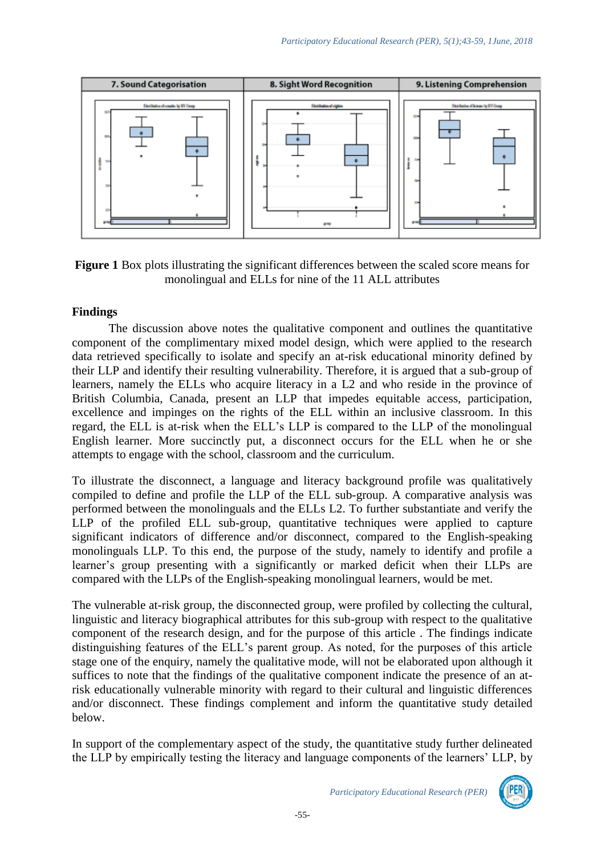

**Figure 1** Box plots illustrating the significant differences between the scaled score means for monolingual and ELLs for nine of the 11 ALL attributes

#### **Findings**

The discussion above notes the qualitative component and outlines the quantitative component of the complimentary mixed model design, which were applied to the research data retrieved specifically to isolate and specify an at-risk educational minority defined by their LLP and identify their resulting vulnerability. Therefore, it is argued that a sub-group of learners, namely the ELLs who acquire literacy in a L2 and who reside in the province of British Columbia, Canada, present an LLP that impedes equitable access, participation, excellence and impinges on the rights of the ELL within an inclusive classroom. In this regard, the ELL is at-risk when the ELL's LLP is compared to the LLP of the monolingual English learner. More succinctly put, a disconnect occurs for the ELL when he or she attempts to engage with the school, classroom and the curriculum.

To illustrate the disconnect, a language and literacy background profile was qualitatively compiled to define and profile the LLP of the ELL sub-group. A comparative analysis was performed between the monolinguals and the ELLs L2. To further substantiate and verify the LLP of the profiled ELL sub-group, quantitative techniques were applied to capture significant indicators of difference and/or disconnect, compared to the English-speaking monolinguals LLP. To this end, the purpose of the study, namely to identify and profile a learner's group presenting with a significantly or marked deficit when their LLPs are compared with the LLPs of the English-speaking monolingual learners, would be met.

The vulnerable at-risk group, the disconnected group, were profiled by collecting the cultural, linguistic and literacy biographical attributes for this sub-group with respect to the qualitative component of the research design, and for the purpose of this article . The findings indicate distinguishing features of the ELL's parent group. As noted, for the purposes of this article stage one of the enquiry, namely the qualitative mode, will not be elaborated upon although it suffices to note that the findings of the qualitative component indicate the presence of an atrisk educationally vulnerable minority with regard to their cultural and linguistic differences and/or disconnect. These findings complement and inform the quantitative study detailed below.

In support of the complementary aspect of the study, the quantitative study further delineated the LLP by empirically testing the literacy and language components of the learners' LLP, by

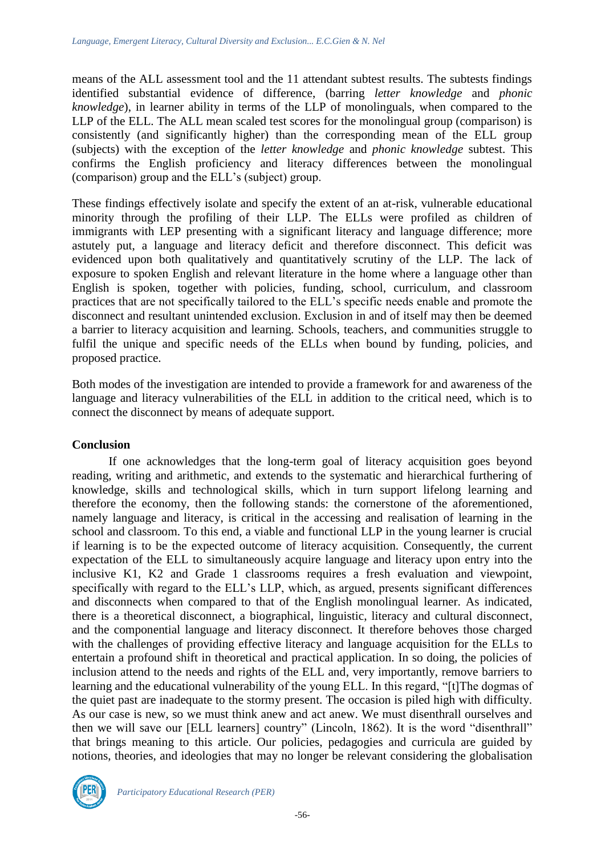means of the ALL assessment tool and the 11 attendant subtest results. The subtests findings identified substantial evidence of difference, (barring *letter knowledge* and *phonic knowledge*), in learner ability in terms of the LLP of monolinguals, when compared to the LLP of the ELL. The ALL mean scaled test scores for the monolingual group (comparison) is consistently (and significantly higher) than the corresponding mean of the ELL group (subjects) with the exception of the *letter knowledge* and *phonic knowledge* subtest. This confirms the English proficiency and literacy differences between the monolingual (comparison) group and the ELL's (subject) group.

These findings effectively isolate and specify the extent of an at-risk, vulnerable educational minority through the profiling of their LLP. The ELLs were profiled as children of immigrants with LEP presenting with a significant literacy and language difference; more astutely put, a language and literacy deficit and therefore disconnect. This deficit was evidenced upon both qualitatively and quantitatively scrutiny of the LLP. The lack of exposure to spoken English and relevant literature in the home where a language other than English is spoken, together with policies, funding, school, curriculum, and classroom practices that are not specifically tailored to the ELL's specific needs enable and promote the disconnect and resultant unintended exclusion. Exclusion in and of itself may then be deemed a barrier to literacy acquisition and learning. Schools, teachers, and communities struggle to fulfil the unique and specific needs of the ELLs when bound by funding, policies, and proposed practice.

Both modes of the investigation are intended to provide a framework for and awareness of the language and literacy vulnerabilities of the ELL in addition to the critical need, which is to connect the disconnect by means of adequate support.

## **Conclusion**

If one acknowledges that the long-term goal of literacy acquisition goes beyond reading, writing and arithmetic, and extends to the systematic and hierarchical furthering of knowledge, skills and technological skills, which in turn support lifelong learning and therefore the economy, then the following stands: the cornerstone of the aforementioned, namely language and literacy, is critical in the accessing and realisation of learning in the school and classroom. To this end, a viable and functional LLP in the young learner is crucial if learning is to be the expected outcome of literacy acquisition. Consequently, the current expectation of the ELL to simultaneously acquire language and literacy upon entry into the inclusive K1, K2 and Grade 1 classrooms requires a fresh evaluation and viewpoint, specifically with regard to the ELL's LLP, which, as argued, presents significant differences and disconnects when compared to that of the English monolingual learner. As indicated, there is a theoretical disconnect, a biographical, linguistic, literacy and cultural disconnect, and the componential language and literacy disconnect. It therefore behoves those charged with the challenges of providing effective literacy and language acquisition for the ELLs to entertain a profound shift in theoretical and practical application. In so doing, the policies of inclusion attend to the needs and rights of the ELL and, very importantly, remove barriers to learning and the educational vulnerability of the young ELL. In this regard, "[t]The dogmas of the quiet past are inadequate to the stormy present. The occasion is piled high with difficulty. As our case is new, so we must think anew and act anew. We must disenthrall ourselves and then we will save our [ELL learners] country" (Lincoln, 1862). It is the word "disenthrall" that brings meaning to this article. Our policies, pedagogies and curricula are guided by notions, theories, and ideologies that may no longer be relevant considering the globalisation

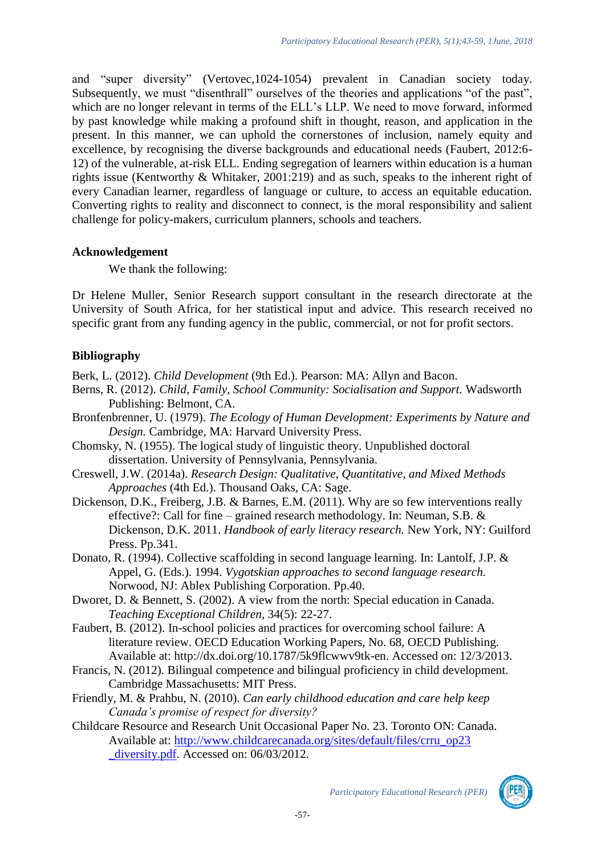and "super diversity" (Vertovec,1024-1054) prevalent in Canadian society today. Subsequently, we must "disenthrall" ourselves of the theories and applications "of the past", which are no longer relevant in terms of the ELL's LLP. We need to move forward, informed by past knowledge while making a profound shift in thought, reason, and application in the present. In this manner, we can uphold the cornerstones of inclusion, namely equity and excellence, by recognising the diverse backgrounds and educational needs (Faubert, 2012:6- 12) of the vulnerable, at-risk ELL. Ending segregation of learners within education is a human rights issue (Kentworthy & Whitaker, 2001:219) and as such, speaks to the inherent right of every Canadian learner, regardless of language or culture, to access an equitable education. Converting rights to reality and disconnect to connect, is the moral responsibility and salient challenge for policy-makers, curriculum planners, schools and teachers.

#### **Acknowledgement**

We thank the following:

Dr Helene Muller, Senior Research support consultant in the research directorate at the University of South Africa, for her statistical input and advice. This research received no specific grant from any funding agency in the public, commercial, or not for profit sectors.

## **Bibliography**

Berk, L. (2012). *Child Development* (9th Ed.). Pearson: MA: Allyn and Bacon.

- Berns, R. (2012). *Child, Family, School Community: Socialisation and Support.* Wadsworth Publishing: Belmont, CA.
- Bronfenbrenner, U. (1979). *The Ecology of Human Development: Experiments by Nature and Design.* Cambridge, MA: Harvard University Press.
- Chomsky, N. (1955). The logical study of linguistic theory. Unpublished doctoral dissertation. University of Pennsylvania, Pennsylvania.
- Creswell, J.W. (2014a). *Research Design: Qualitative, Quantitative, and Mixed Methods Approaches* (4th Ed.). Thousand Oaks, CA: Sage.
- Dickenson, D.K., Freiberg, J.B. & Barnes, E.M. (2011). Why are so few interventions really effective?: Call for fine – grained research methodology. In: Neuman, S.B. & Dickenson, D.K. 2011. *Handbook of early literacy research.* New York, NY: Guilford Press. Pp.341.
- Donato, R. (1994). Collective scaffolding in second language learning. In: Lantolf, J.P. & Appel, G. (Eds.). 1994. *Vygotskian approaches to second language research.*  Norwood, NJ: Ablex Publishing Corporation. Pp.40.
- Dworet, D. & Bennett, S. (2002). A view from the north: Special education in Canada. *Teaching Exceptional Children*, 34(5): 22-27.
- Faubert, B. (2012). In-school policies and practices for overcoming school failure: A literature review. OECD Education Working Papers, No. 68, OECD Publishing. Available at: http://dx.doi.org/10.1787/5k9flcwwv9tk-en. Accessed on: 12/3/2013.
- Francis, N. (2012). Bilingual competence and bilingual proficiency in child development. Cambridge Massachusetts: MIT Press.
- Friendly, M. & Prahbu, N. (2010). *Can early childhood education and care help keep Canada's promise of respect for diversity?*
- Childcare Resource and Research Unit Occasional Paper No. 23. Toronto ON: Canada. Available at: [http://www.childcarecanada.org/sites/default/files/crru\\_op23](http://www.childcarecanada.org/sites/default/files/crru_op23%20_diversity.pdf)  diversity.pdf. Accessed on: 06/03/2012.

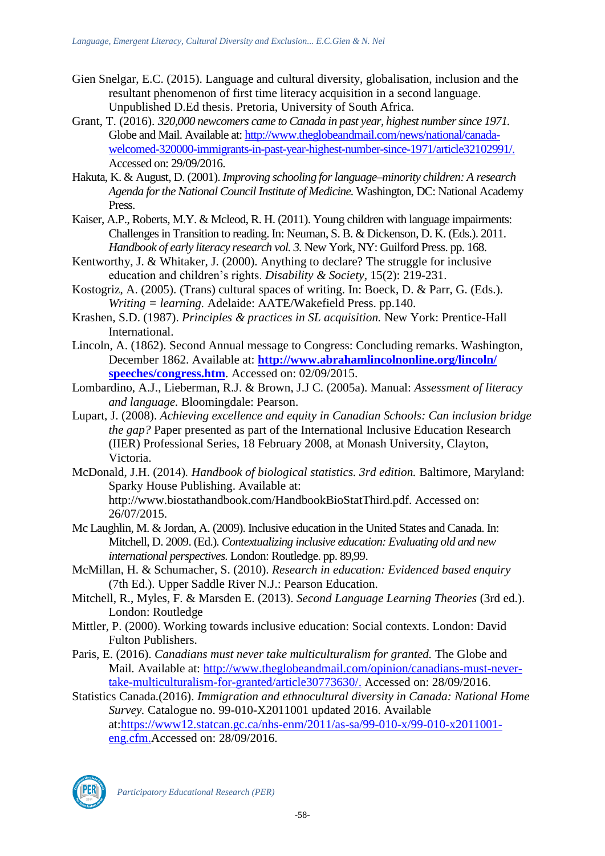- Gien Snelgar, E.C. (2015). Language and cultural diversity, globalisation, inclusion and the resultant phenomenon of first time literacy acquisition in a second language. Unpublished D.Ed thesis. Pretoria, University of South Africa.
- Grant, T. (2016). *320,000 newcomers came to Canada in past year, highest number since 1971.*  Globe and Mail. Available at: [http://www.theglobeandmail.com/news/national/canada](http://www.theglobeandmail.com/news/national/canada-welcomed-320000-immigrants-in-past-year-highest-number-since-1971/article32102991/)[welcomed-320000-immigrants-in-past-year-highest-number-since-1971/article32102991/.](http://www.theglobeandmail.com/news/national/canada-welcomed-320000-immigrants-in-past-year-highest-number-since-1971/article32102991/) Accessed on: 29/09/2016.
- Hakuta, K. & August, D. (2001). *Improving schooling for language–minority children: A research Agenda for the National Council Institute of Medicine.* Washington, DC: National Academy Press.
- Kaiser, A.P., Roberts, M.Y. & Mcleod, R. H. (2011). Young children with language impairments: Challenges in Transition to reading. In: Neuman, S. B. & Dickenson, D. K. (Eds.). 2011. *Handbook of early literacy research vol. 3.* New York, NY: Guilford Press. pp. 168.
- Kentworthy, J. & Whitaker, J. (2000). Anything to declare? The struggle for inclusive education and children's rights. *Disability & Society,* 15(2): 219-231.
- Kostogriz, A. (2005). (Trans) cultural spaces of writing. In: Boeck, D. & Parr, G. (Eds.). *Writing = learning.* Adelaide: AATE/Wakefield Press. pp.140.
- Krashen, S.D. (1987). *Principles & practices in SL acquisition.* New York: Prentice-Hall International.
- Lincoln, A. (1862). Second Annual message to Congress: Concluding remarks. Washington, December 1862. Available at: **[http://www.abrahamlincolnonline.org/lincoln/](http://www.abrahamlincolnonline.org/lincoln/%20speeches/congress.htm)  [speeches/congress.htm](http://www.abrahamlincolnonline.org/lincoln/%20speeches/congress.htm)**. Accessed on: 02/09/2015.
- Lombardino, A.J., Lieberman, R.J. & Brown, J.J C. (2005a). Manual: *Assessment of literacy and language.* Bloomingdale: Pearson.
- Lupart, J. (2008). *Achieving excellence and equity in Canadian Schools: Can inclusion bridge the gap?* Paper presented as part of the International Inclusive Education Research (IIER) Professional Series, 18 February 2008, at Monash University, Clayton, Victoria.
- McDonald, J.H. (2014)*. Handbook of biological statistics. 3rd edition.* Baltimore, Maryland: Sparky House Publishing. Available at:
	- http://www.biostathandbook.com/HandbookBioStatThird.pdf. Accessed on: 26/07/2015.
- Mc Laughlin, M. & Jordan, A. (2009). Inclusive education in the United States and Canada. In: Mitchell, D. 2009. (Ed.). *Contextualizing inclusive education: Evaluating old and new international perspectives.* London: Routledge. pp. 89,99.
- McMillan, H. & Schumacher, S. (2010). *Research in education: Evidenced based enquiry*  (7th Ed.). Upper Saddle River N.J.: Pearson Education.
- Mitchell, R., Myles, F. & Marsden E. (2013). *Second Language Learning Theories* (3rd ed.). London: Routledge
- Mittler, P. (2000). Working towards inclusive education: Social contexts. London: David Fulton Publishers.
- Paris, E. (2016). *Canadians must never take multiculturalism for granted.* The Globe and Mail. Available at: [http://www.theglobeandmail.com/opinion/canadians-must-never](http://www.theglobeandmail.com/opinion/canadians-must-never-take-multiculturalism-for-granted/article30773630/)[take-multiculturalism-for-granted/article30773630/.](http://www.theglobeandmail.com/opinion/canadians-must-never-take-multiculturalism-for-granted/article30773630/) Accessed on: 28/09/2016.
- Statistics Canada.(2016). *Immigration and ethnocultural diversity in Canada: National Home Survey.* Catalogue no. 99-010-X2011001 updated 2016. Available at[:https://www12.statcan.gc.ca/nhs-enm/2011/as-sa/99-010-x/99-010-x2011001](https://www12.statcan.gc.ca/nhs-enm/2011/as-sa/99-010-x/99-010-x2011001-eng.cfm) [eng.cfm.](https://www12.statcan.gc.ca/nhs-enm/2011/as-sa/99-010-x/99-010-x2011001-eng.cfm)Accessed on: 28/09/2016.